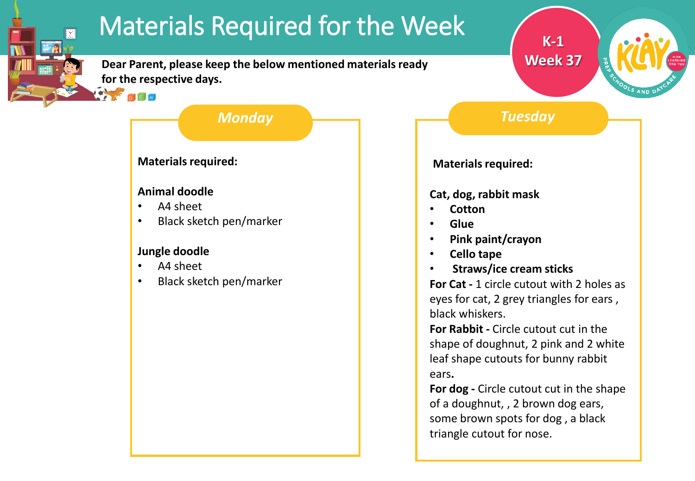# Materials Required for the Week

**Dear Parent, please keep the below mentioned materials ready for the respective days.**

## *Monday Tuesday*

**K-1**

**Week 37**

### **Materials required:**

#### **Animal doodle**

• A4 sheet

 $D$  $E$  $M$ 

**IY** 

• Black sketch pen/marker

### **Jungle doodle**

- A4 sheet
- Black sketch pen/marker

**Materials required:**

### **Cat, dog, rabbit mask**

- **Cotton**
- **Glue**
- **Pink paint/crayon**
- **Cello tape**
- **Straws/ice cream sticks**

**For Cat -** 1 circle cutout with 2 holes as eyes for cat, 2 grey triangles for ears , black whiskers.

**For Rabbit -** Circle cutout cut in the shape of doughnut, 2 pink and 2 white leaf shape cutouts for bunny rabbit ears**.**

**For dog -** Circle cutout cut in the shape of a doughnut, , 2 brown dog ears, some brown spots for dog , a black triangle cutout for nose.